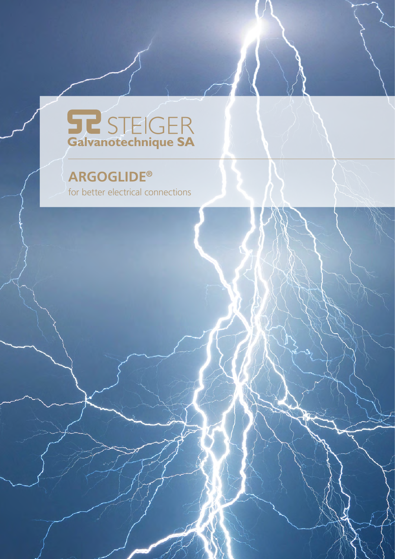# **STEIGER**<br>Galvanotechnique SA

## **ARGOGLIDE®**

for better electrical connections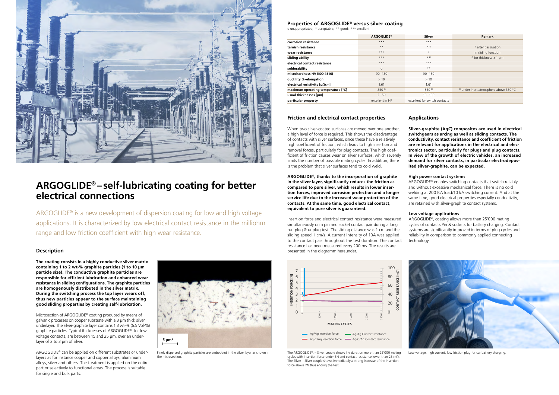ARGOGLIDE® is a new development of dispersion coating for low and high voltage applications. It is characterized by low electrical contact resistance in the milliohm range and low friction coefficient with high wear resistance.

#### **Friction and electrical contact properties**

When two silver-coated surfaces are moved over one another, a high level of force is required. This shows the disadvantage of contacts with silver surfaces, since these have a relatively high coefficient of friction, which leads to high insertion and removal forces, particularly for plug contacts. The high coefficient of friction causes wear on silver surfaces, which severely limits the number of possible mating cycles. In addition, there is the problem that silver surfaces tend to cold weld.

Insertion force and electrical contact resistance were measured simultaneously on a pin and socket contact pair during a long run plug & unplug test. The sliding distance was 1 cm and the sliding speed 1 cm/s. A current intensity of 10A was applied to the contact pair throughout the test duration. The contact resistance has been measured every 200 ms. The results are **Description** presented in the diagramm hereunder.

**ARGOGLIDE®, thanks to the incorporation of graphite in the silver layer, significantly reduces the friction as compared to pure silver, which results in lower insertion forces, improved corrosion protection and a longer service life due to the increased wear protection of the contacts. At the same time, good electrical contact, equivalent to pure silver is guaranteed.**

Microsection of ARGOGLIDE® coating produced by means of galvanic processes on copper substrate with a 3 µm thick silver underlayer. The silver-graphite layer contains 1.3 wt-% (6.5 Vol-%) graphite particles. Typical thicknesses of ARGOGLIDE®, for low voltage contacts, are between 15 and 25 µm, over an underlayer of 2 to 3 µm of silver.

**The coating consists in a highly conductive silver matrix containing 1 to 2 wt-% graphite particles (1 to 10 μm particle size). The conductive graphite particles are responsible for efficient lubrication and enhanced wear resistance in sliding configurations. The graphite particles are homogenously distributed in the silver matrix. During the switching process the top layer wears off, thus new particles appear to the surface maintaining good sliding properties by creating self-lubrication.**



Finely dispersed graphite particles are embedded in the silver layer as shown in the microsection.

ARGOGLIDE® can be applied on different substrates or underlayers as for instance copper and copper alloys, aluminium alloys, silver and others. The treatment is applied on the entire part or selectively to functional areas. The process is suitable for single and bulk parts.

#### **Low voltage applications**

ARGOGLIDE®, coating allows more than 25'000 mating cycles of contacts Pin & sockets for battery charging. Contact systems are significantly improved in terms of plug cycles and reliability in comparison to commonly applied connecting

technology.

#### **Applications**

**Silver-graphite (AgC) composites are used in electrical switchgears as arcing as well as sliding contacts. The conductivity, contact resistance and coefficient of friction are relevant for applications in the electrical and electronics sector, particularly for plugs and plug contacts. In view of the growth of electric vehicles, an increased demand for silver contacts, in particular electrodeposited silver-graphite, can be expected.**

#### **High power contact systems**

ARGOGLIDE® enables switching contacts that switch reliably and without excessive mechanical force. There is no cold welding at 200 KA load/10 kA switching current. And at the same time, good electrical properties especially conductivity, are retained with silver-graphite contact systems.



The ARGOGLIDE®, – Silver couple shows life duration more than 25'000 mating cycles with insertion force under 5N and contact resistance lower than 25 mΩ. The Silver – Silver couple shows immediately a strong increase of the insertion force above 7N thus ending the test.



Low voltage, high current, low friction plug for car battery charging.

#### **Properties of ARGOGLIDE® versus silver coating**

o unappropriated; \* acceptable; \*\* good; \*\*\* excellent

|                                    | <b>ARGOGLIDE®</b> | Silver                        | <b>Remark</b>                                     |
|------------------------------------|-------------------|-------------------------------|---------------------------------------------------|
| corrosion resistance               | $***$             | $***$                         |                                                   |
| tarnish resistance                 | $***$             | $* 1)$                        | <sup>1)</sup> after passivation                   |
| wear resistance                    | $***$             | $\star$                       | in sliding function                               |
| sliding ability                    | $***$             | x 2)                          | <sup>2)</sup> for thickness < 1 $\mu$ m           |
| electrical contact resistance      | $***$             | $***$                         |                                                   |
| solderability                      | $\circ$           | $**$                          |                                                   |
| microhardness HV (ISO 4516)        | $90 - 130$        | $90 - 130$                    |                                                   |
| ductility %-elongation             | >10               | >10                           |                                                   |
| electrical resistivity [μΩcm]      | 1.61              | 1.61                          |                                                   |
| maximum operating temperature [°C] | $850^{3}$         | $850^{3}$                     | <sup>3)</sup> under inert atmosphere above 350 °C |
| usual thicknesses [µm]             | $2 - 50$          | $10 - 100$                    |                                                   |
| particular property                | excellent in HF   | excellent for switch contacts |                                                   |



### **ARGOGLIDE® –self-lubricating coating for better electrical connections**